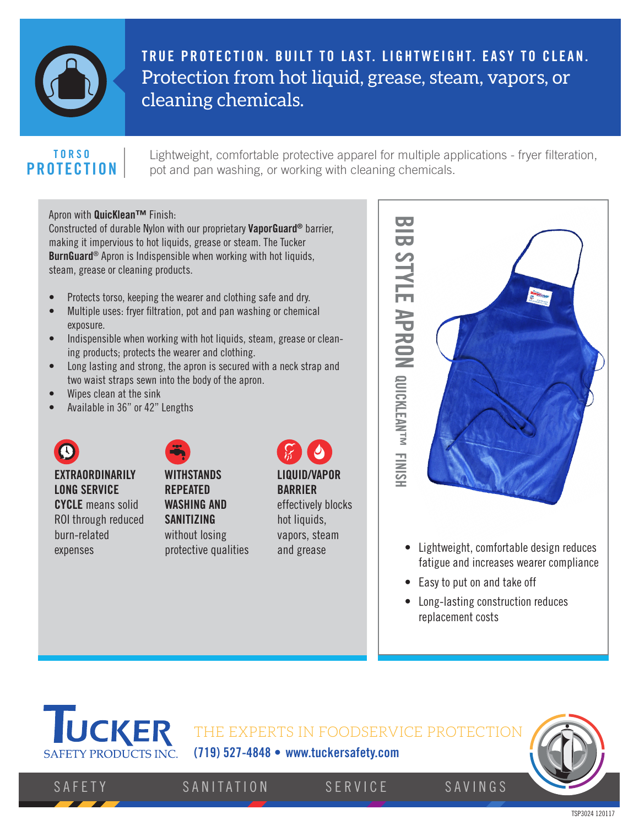

**TRUE PROTECTION. BUILT TO LAST. LIGHTWEIGHT. EASY TO CLEAN.** Protection from hot liquid, grease, steam, vapors, or cleaning chemicals.

#### **TORSO PROTECTION**

Lightweight, comfortable protective apparel for multiple applications - fryer filteration, pot and pan washing, or working with cleaning chemicals.

#### Apron with QuicKlean™ Finish:

Constructed of durable Nylon with our proprietary VaporGuard® barrier, making it impervious to hot liquids, grease or steam. The Tucker BurnGuard® Apron is Indispensible when working with hot liquids, steam, grease or cleaning products.

- Protects torso, keeping the wearer and clothing safe and dry.
- Multiple uses: fryer filtration, pot and pan washing or chemical exposure.
- Indispensible when working with hot liquids, steam, grease or cleaning products; protects the wearer and clothing.
- $\bullet$  Long lasting and strong, the apron is secured with a neck strap and two waist straps sewn into the body of the apron. 55 1010 2020
	- Wipes clean at the sink
	- Available in 36" or 42" Lengths



**EXTRAORDINARILY LONG SERVICE CYCLE** means solid ROI through reduced burn-related expenses

5 10 20 **WITHSTANDS REPEATED WASHING AND SANITIZING** without losing protective qualities

# **LIQUID/VAPOR BARRIER**

effectively blocks hot liquids, vapors, steam and grease



- Lightweight, comfortable design reduces fatigue and increases wearer compliance
- Easy to put on and take off
- Long-lasting construction reduces replacement costs